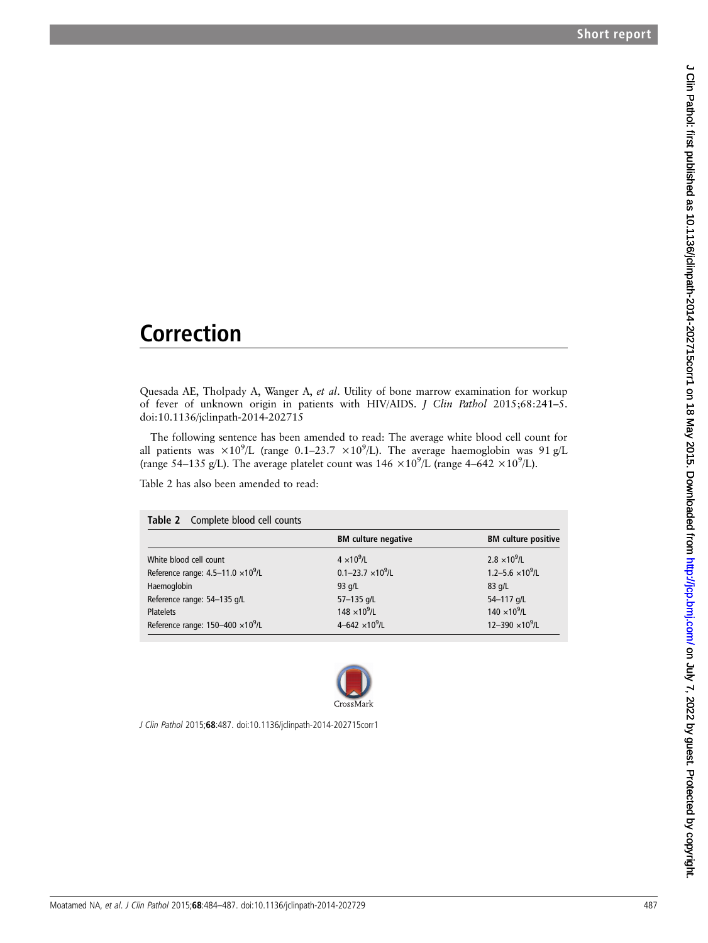## Correction

Quesada AE, Tholpady A, Wanger A, et al. Utility of bone marrow examination for workup of fever of unknown origin in patients with HIV/AIDS. J Clin Pathol 2015;68:241–5. doi:10.1136/jclinpath-2014-202715

The following sentence has been amended to read: The average white blood cell count for all patients was  $\times 10^9$ /L (range 0.1–23.7  $\times 10^9$ /L). The average haemoglobin was 91 g/L (range 54–135 g/L). The average platelet count was  $146 \times 10^9$ /L (range 4–642  $\times 10^9$ /L).

Table 2 has also been amended to read:

| Table 2 Complete blood cell counts         |                                   |                            |
|--------------------------------------------|-----------------------------------|----------------------------|
|                                            | <b>BM</b> culture negative        | <b>BM</b> culture positive |
| White blood cell count                     | $4 \times 10^9$ /L                | $2.8 \times 10^{9}$ /L     |
| Reference range: $4.5-11.0 \times 10^9$ /L | $0.1 - 23.7 \times 10^9$ /L       | $1.2 - 5.6 \times 10^9$ /L |
| Haemoglobin                                | $93$ g/L                          | $83$ g/L                   |
| Reference range: 54-135 g/L                | 57-135 g/L                        | 54-117 g/L                 |
| <b>Platelets</b>                           | 148 $\times$ 10 <sup>9</sup> /L   | $140 \times 10^{9}$ /L     |
| Reference range: $150-400 \times 10^9$ /L  | 4-642 $\times$ 10 <sup>9</sup> /L | 12-390 $\times10^9$ /L     |



J Clin Pathol 2015;68:487. doi:10.1136/jclinpath-2014-202715corr1